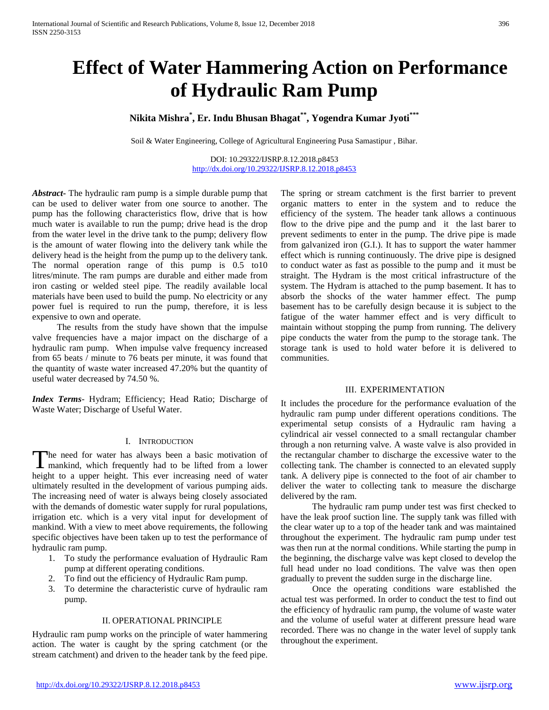# **Effect of Water Hammering Action on Performance of Hydraulic Ram Pump**

# **Nikita Mishra\* , Er. Indu Bhusan Bhagat\*\*, Yogendra Kumar Jyoti\*\*\***

Soil & Water Engineering, College of Agricultural Engineering Pusa Samastipur , Bihar.

DOI: 10.29322/IJSRP.8.12.2018.p8453 <http://dx.doi.org/10.29322/IJSRP.8.12.2018.p8453>

*Abstract***-** The hydraulic ram pump is a simple durable pump that can be used to deliver water from one source to another. The pump has the following characteristics flow, drive that is how much water is available to run the pump; drive head is the drop from the water level in the drive tank to the pump; delivery flow is the amount of water flowing into the delivery tank while the delivery head is the height from the pump up to the delivery tank. The normal operation range of this pump is 0.5 to10 litres/minute. The ram pumps are durable and either made from iron casting or welded steel pipe. The readily available local materials have been used to build the pump. No electricity or any power fuel is required to run the pump, therefore, it is less expensive to own and operate.

 The results from the study have shown that the impulse valve frequencies have a major impact on the discharge of a hydraulic ram pump. When impulse valve frequency increased from 65 beats / minute to 76 beats per minute, it was found that the quantity of waste water increased 47.20% but the quantity of useful water decreased by 74.50 %.

*Index Terms*- Hydram; Efficiency; Head Ratio; Discharge of Waste Water; Discharge of Useful Water.

### I. INTRODUCTION

he need for water has always been a basic motivation of The need for water has always been a basic motivation of mankind, which frequently had to be lifted from a lower height to a upper height. This ever increasing need of water ultimately resulted in the development of various pumping aids. The increasing need of water is always being closely associated with the demands of domestic water supply for rural populations, irrigation etc. which is a very vital input for development of mankind. With a view to meet above requirements, the following specific objectives have been taken up to test the performance of hydraulic ram pump.

- 1. To study the performance evaluation of Hydraulic Ram pump at different operating conditions.
- 2. To find out the efficiency of Hydraulic Ram pump.
- 3. To determine the characteristic curve of hydraulic ram pump.

# II. OPERATIONAL PRINCIPLE

Hydraulic ram pump works on the principle of water hammering action. The water is caught by the spring catchment (or the stream catchment) and driven to the header tank by the feed pipe.

The spring or stream catchment is the first barrier to prevent organic matters to enter in the system and to reduce the efficiency of the system. The header tank allows a continuous flow to the drive pipe and the pump and it the last barer to prevent sediments to enter in the pump. The drive pipe is made from galvanized iron (G.I.). It has to support the water hammer effect which is running continuously. The drive pipe is designed to conduct water as fast as possible to the pump and it must be straight. The Hydram is the most critical infrastructure of the system. The Hydram is attached to the pump basement. It has to absorb the shocks of the water hammer effect. The pump basement has to be carefully design because it is subject to the fatigue of the water hammer effect and is very difficult to maintain without stopping the pump from running. The delivery pipe conducts the water from the pump to the storage tank. The storage tank is used to hold water before it is delivered to communities.

# III. EXPERIMENTATION

It includes the procedure for the performance evaluation of the hydraulic ram pump under different operations conditions. The experimental setup consists of a Hydraulic ram having a cylindrical air vessel connected to a small rectangular chamber through a non returning valve. A waste valve is also provided in the rectangular chamber to discharge the excessive water to the collecting tank. The chamber is connected to an elevated supply tank. A delivery pipe is connected to the foot of air chamber to deliver the water to collecting tank to measure the discharge delivered by the ram.

 The hydraulic ram pump under test was first checked to have the leak proof suction line. The supply tank was filled with the clear water up to a top of the header tank and was maintained throughout the experiment. The hydraulic ram pump under test was then run at the normal conditions. While starting the pump in the beginning, the discharge valve was kept closed to develop the full head under no load conditions. The valve was then open gradually to prevent the sudden surge in the discharge line.

 Once the operating conditions ware established the actual test was performed. In order to conduct the test to find out the efficiency of hydraulic ram pump, the volume of waste water and the volume of useful water at different pressure head ware recorded. There was no change in the water level of supply tank throughout the experiment.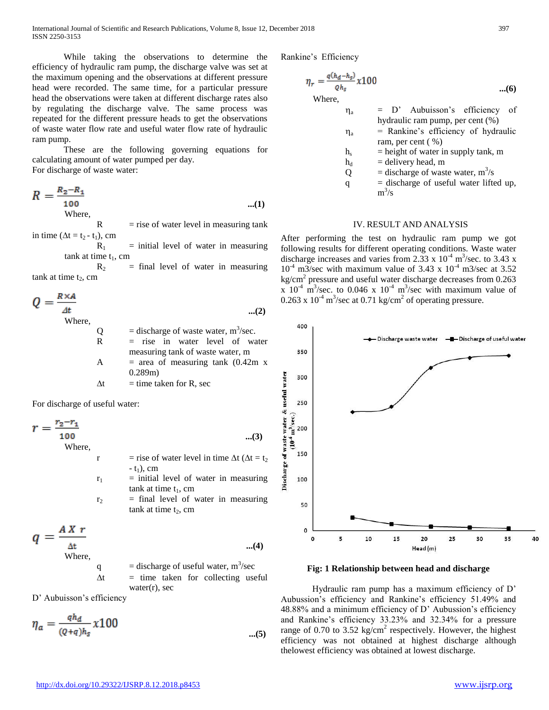While taking the observations to determine the efficiency of hydraulic ram pump, the discharge valve was set at the maximum opening and the observations at different pressure head were recorded. The same time, for a particular pressure head the observations were taken at different discharge rates also by regulating the discharge valve. The same process was repeated for the different pressure heads to get the observations of waste water flow rate and useful water flow rate of hydraulic ram pump.

 These are the following governing equations for calculating amount of water pumped per day. For discharge of waste water:

 $R = \frac{R_2 - R_1}{100}$  **...(1)** Where,  $R =$  rise of water level in measuring tank

in time ( $\Delta t = t_2 - t_1$ ), cm

 $R_1$  = initial level of water in measuring tank at time  $t_1$ , cm

 $R_2$  = final level of water in measuring tank at time  $t_2$ , cm

 $Q = \frac{R \times A}{4t}$  **...(2)** Where,  $Q =$  discharge of waste water, m<sup>3</sup>/sec.  $R =$  rise in water level of water measuring tank of waste water, m A  $=$  area of measuring tank  $(0.42m x)$ 0.289m)  $\Delta t$  = time taken for R, sec

For discharge of useful water:

$$
r = \frac{r_2 - r_1}{100}
$$
 where, (3)

r = rise of water level in time  $\Delta t$  ( $\Delta t$  = t<sub>2</sub>  $-t_1$ ), cm  $r_1$  = initial level of water in measuring tank at time  $t_1$ , cm  $r_2$  = final level of water in measuring tank at time  $t_2$ , cm

$$
q = \frac{AX r}{\frac{\Delta t}{\text{Where}}}
$$
...(4)

q  $=$  discharge of useful water,  $m^3$ /sec  $\Delta t$  = time taken for collecting useful water $(r)$ , sec

D' Aubuisson's efficiency

$$
\eta_a = \frac{qh_d}{(Q+q)h_s} \times 100 \tag{5}
$$

Rankine's Efficiency

$$
\eta_r = \frac{q(h_d - h_s)}{q h_s} \chi 100
$$
...(6)  
Where,

 $\eta_a$  = D' Aubuisson's efficiency of hydraulic ram pump, per cent (%)

| $\eta_{\rm a}$ | = Rankine's efficiency of hydraulic |
|----------------|-------------------------------------|
|                | ram, per cent $(\% )$               |

- $h<sub>s</sub>$  = height of water in supply tank, m
- $h_d$  = delivery head, m
- $Q =$  discharge of waste water,  $m^3/s$
- $q =$  discharge of useful water lifted up,  $m^3/s$

## IV. RESULT AND ANALYSIS

After performing the test on hydraulic ram pump we got following results for different operating conditions. Waste water discharge increases and varies from 2.33 x  $10^{-4}$  m<sup>3</sup>/sec. to 3.43 x  $10^{-4}$  m3/sec with maximum value of 3.43 x  $10^{-4}$  m3/sec at 3.52  $\text{kg/cm}^2$  pressure and useful water discharge decreases from 0.263  $\frac{\text{m}}{2}$   $\frac{\text{m}^3}{\text{sec}}$  to 0.046 x 10<sup>-4</sup> m<sup>3</sup>/sec with maximum value of 0.263 x  $10^{-4}$  m<sup>3</sup>/sec at 0.71 kg/cm<sup>2</sup> of operating pressure.



**Fig: 1 Relationship between head and discharge**

 Hydraulic ram pump has a maximum efficiency of D' Aubussion's efficiency and Rankine's efficiency 51.49% and 48.88% and a minimum efficiency of D' Aubussion's efficiency and Rankine's efficiency 33.23% and 32.34% for a pressure range of 0.70 to 3.52 kg/cm<sup>2</sup> respectively. However, the highest efficiency was not obtained at highest discharge although thelowest efficiency was obtained at lowest discharge.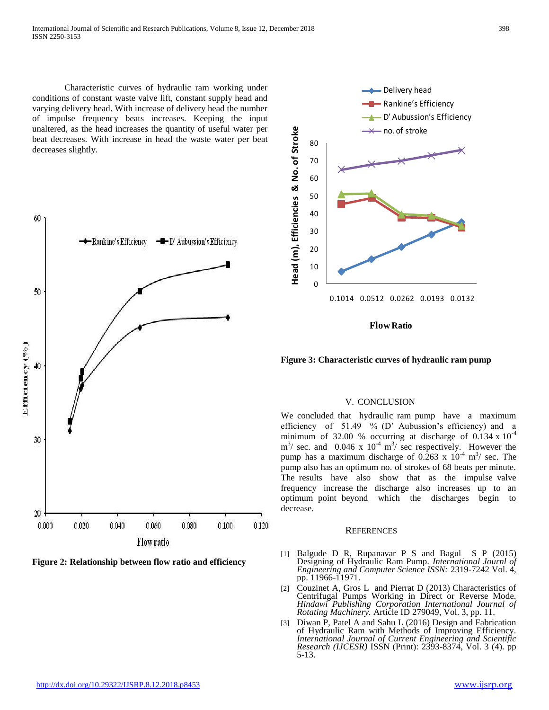Characteristic curves of hydraulic ram working under conditions of constant waste valve lift, constant supply head and varying delivery head. With increase of delivery head the number of impulse frequency beats increases. Keeping the input unaltered, as the head increases the quantity of useful water per beat decreases. With increase in head the waste water per beat decreases slightly.



**Figure 2: Relationship between flow ratio and efficiency**



**Figure 3: Characteristic curves of hydraulic ram pump**

### V. CONCLUSION

We concluded that hydraulic ram pump have a maximum efficiency of 51.49 % (D' Aubussion's efficiency) and a minimum of 32.00 % occurring at discharge of  $0.134 \times 10^{-4}$  $\text{m}^3$ / sec. and 0.046 x 10<sup>-4</sup> m<sup>3</sup>/ sec respectively. However the pump has a maximum discharge of 0.263 x  $10^{-4}$  m<sup>3</sup>/ sec. The pump also has an optimum no. of strokes of 68 beats per minute. The results have also show that as the impulse valve frequency increase the discharge also increases up to an optimum point beyond which the discharges begin to decrease.

#### **REFERENCES**

- [1] Balgude D R, Rupanavar P S and Bagul S P (2015) Designing of Hydraulic Ram Pump. *International Journl of Engineering and Computer Science ISSN:* 2319-7242 Vol. 4, pp. 11966-11971.
- [2] Couzinet A, Gros L and Pierrat D (2013) Characteristics of Centrifugal Pumps Working in Direct or Reverse Mode. *Hindawi Publishing Corporation International Journal of Rotating Machinery.* Article ID 279049, Vol. 3, pp. 11.
- [3] Diwan P, Patel A and Sahu L (2016) Design and Fabrication of Hydraulic Ram with Methods of Improving Efficiency. *International Journal of Current Engineering and Scientific Research (IJCESR)* ISSN (Print): 2393-8374, Vol. 3 (4). pp 5-13.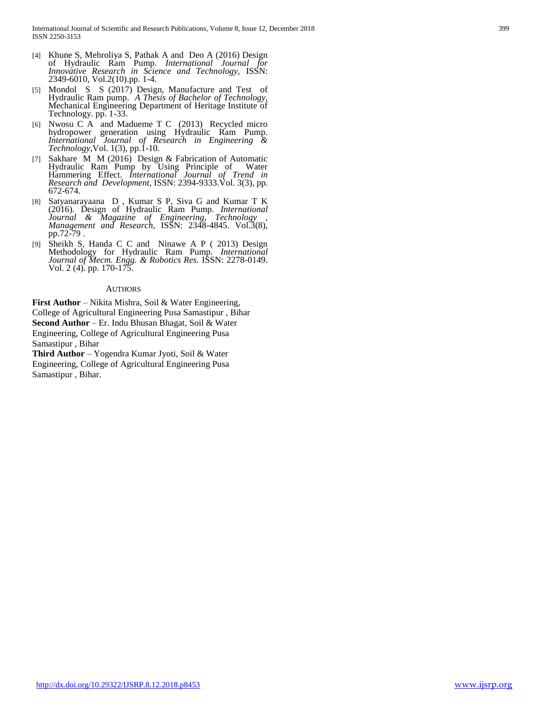- [4] Khune S, Mehroliya S, Pathak A and Deo A (2016) Design of Hydraulic Ram Pump. *International Journal for Innovative Research in Science and Technology,* ISSN: 2349-6010, Vol.2(10).pp. 1-4.
- [5] Mondol S S (2017) Design, Manufacture and Test of Hydraulic Ram pump. *A Thesis of Bachelor of Technology,*  Mechanical Engineering Department of Heritage Institute of Technology. pp. 1-33.
- [6] Nwosu C A and Madueme T C (2013) Recycled micro hydropower generation using Hydraulic Ram Pump. *International Journal of Research in Engineering & Technology,*Vol. 1(3), pp.1-10.
- [7] Sakhare M M (2016) Design & Fabrication of Automatic Hydraulic Ram Pump by Using Principle of Water Hammering Effect. *International Journal of Trend in Research and Development*, ISSN: 2394-9333.Vol. 3(3), pp. 672-674.
- [8] Satyanarayaana D , Kumar S P, Siva G and Kumar T K (2016). Design of Hydraulic Ram Pump. *International Journal & Magazine of Engineering, Technology , Management and Research,* ISSN: 2348-4845. Vol.3(8), pp.72-79 .
- [9] Sheikh S, Handa C C and Ninawe A P ( 2013) Design Methodology for Hydraulic Ram Pump. *International Journal of Mecm. Engg. & Robotics Res.* ISSN: 2278-0149. Vol. 2 (4). pp. 170-175.

#### AUTHORS

**First Author** – Nikita Mishra, Soil & Water Engineering, College of Agricultural Engineering Pusa Samastipur , Bihar **Second Author** – Er. Indu Bhusan Bhagat, Soil & Water Engineering, College of Agricultural Engineering Pusa Samastipur , Bihar

**Third Author** – Yogendra Kumar Jyoti, Soil & Water Engineering, College of Agricultural Engineering Pusa Samastipur , Bihar.